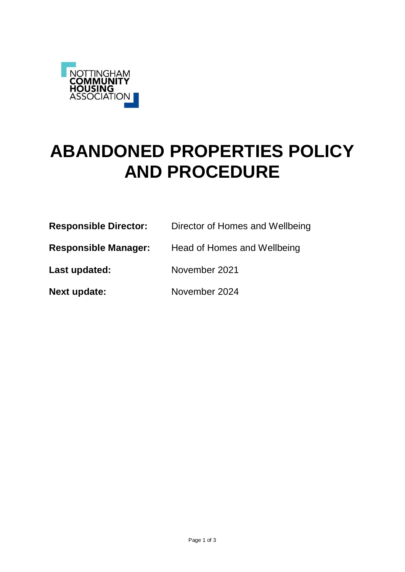

# **ABANDONED PROPERTIES POLICY AND PROCEDURE**

| <b>Responsible Director:</b> | Director of Homes and Wellbeing |
|------------------------------|---------------------------------|
| <b>Responsible Manager:</b>  | Head of Homes and Wellbeing     |
| Last updated:                | November 2021                   |
| <b>Next update:</b>          | November 2024                   |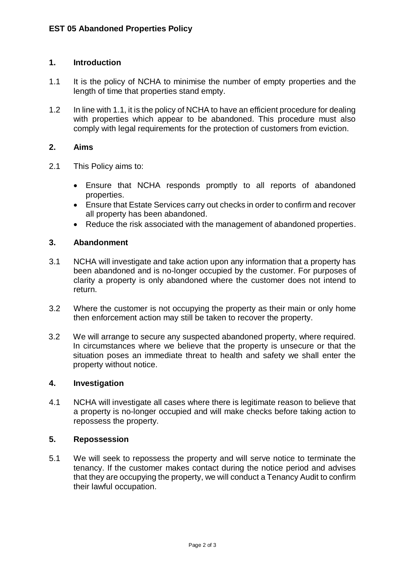## **1. Introduction**

- 1.1 It is the policy of NCHA to minimise the number of empty properties and the length of time that properties stand empty.
- 1.2 In line with 1.1, it is the policy of NCHA to have an efficient procedure for dealing with properties which appear to be abandoned. This procedure must also comply with legal requirements for the protection of customers from eviction.

## **2. Aims**

- 2.1 This Policy aims to:
	- Ensure that NCHA responds promptly to all reports of abandoned properties.
	- Ensure that Estate Services carry out checks in order to confirm and recover all property has been abandoned.
	- Reduce the risk associated with the management of abandoned properties.

## **3. Abandonment**

- 3.1 NCHA will investigate and take action upon any information that a property has been abandoned and is no-longer occupied by the customer. For purposes of clarity a property is only abandoned where the customer does not intend to return.
- 3.2 Where the customer is not occupying the property as their main or only home then enforcement action may still be taken to recover the property.
- 3.2 We will arrange to secure any suspected abandoned property, where required. In circumstances where we believe that the property is unsecure or that the situation poses an immediate threat to health and safety we shall enter the property without notice.

#### **4. Investigation**

4.1 NCHA will investigate all cases where there is legitimate reason to believe that a property is no-longer occupied and will make checks before taking action to repossess the property.

#### **5. Repossession**

5.1 We will seek to repossess the property and will serve notice to terminate the tenancy. If the customer makes contact during the notice period and advises that they are occupying the property, we will conduct a Tenancy Audit to confirm their lawful occupation.